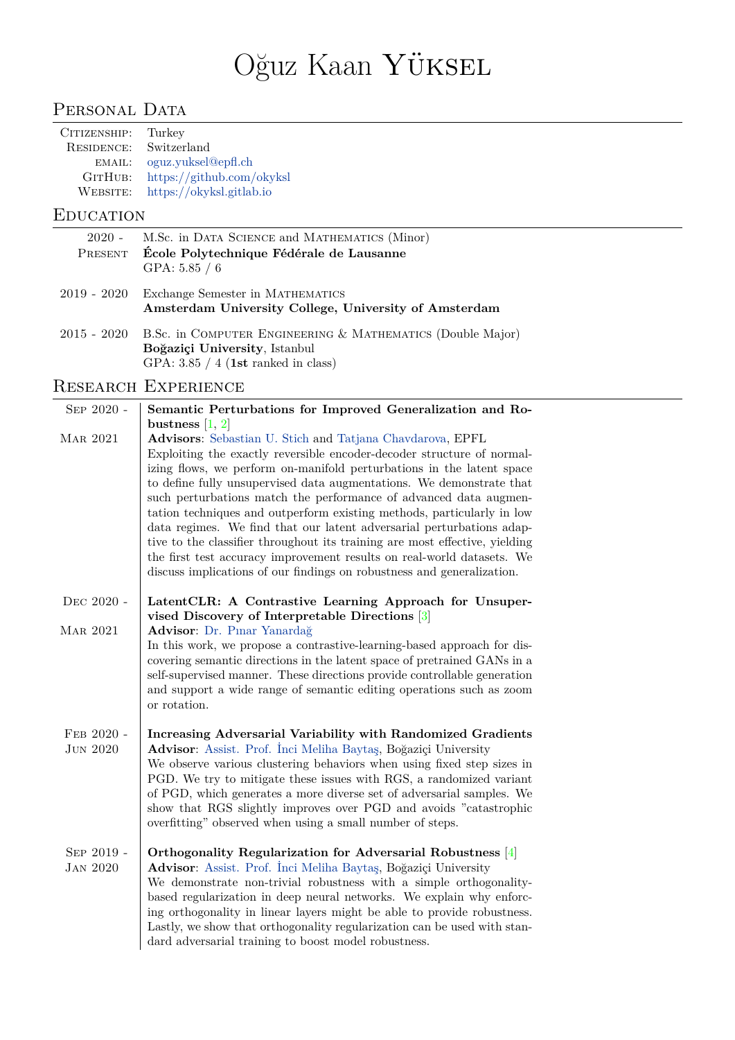# Oğuz Kaan Yüksel

# PERSONAL DATA

| CITIZENSHIP: | Turkey                    |
|--------------|---------------------------|
| RESIDENCE:   | Switzerland               |
| EMAIL:       | oguz.yuksel@epfl.ch       |
| GITHUB:      | https://github.com/okyksl |
| WEBSITE:     | https://okyksl.gitlab.io  |
|              |                           |

### **EDUCATION**

| 2020 - M.Sc. in DATA SCIENCE and MATHEMATICS (Minor)<br>PRESENT École Polytechnique Fédérale de Lausanne<br>GPA: $5.85\; / \; 6$ |
|----------------------------------------------------------------------------------------------------------------------------------|
| 2019 - 2020 Exchange Semester in MATHEMATICS<br>Amsterdam University College, University of Amsterdam                            |

2015 - 2020 B.Sc. in Computer Engineering & Mathematics (Double Major) **Boğaziçi University**, Istanbul GPA: 3.85 / 4 (**1st** ranked in class)

# Research Experience

| SEP 2020 -                    | Semantic Perturbations for Improved Generalization and Ro-<br>bustness $[1, 2]$                                                                                                                                                                                                                                                                                                                                                                                                                                                                                                                                                                                                                                                                 |
|-------------------------------|-------------------------------------------------------------------------------------------------------------------------------------------------------------------------------------------------------------------------------------------------------------------------------------------------------------------------------------------------------------------------------------------------------------------------------------------------------------------------------------------------------------------------------------------------------------------------------------------------------------------------------------------------------------------------------------------------------------------------------------------------|
| <b>MAR 2021</b>               | Advisors: Sebastian U. Stich and Tatjana Chavdarova, EPFL<br>Exploiting the exactly reversible encoder-decoder structure of normal-<br>izing flows, we perform on-manifold perturbations in the latent space<br>to define fully unsupervised data augmentations. We demonstrate that<br>such perturbations match the performance of advanced data augmen-<br>tation techniques and outperform existing methods, particularly in low<br>data regimes. We find that our latent adversarial perturbations adap-<br>tive to the classifier throughout its training are most effective, yielding<br>the first test accuracy improvement results on real-world datasets. We<br>discuss implications of our findings on robustness and generalization. |
| DEC 2020 -                    | LatentCLR: A Contrastive Learning Approach for Unsuper-<br>vised Discovery of Interpretable Directions [3]                                                                                                                                                                                                                                                                                                                                                                                                                                                                                                                                                                                                                                      |
| <b>MAR 2021</b>               | Advisor: Dr. Pinar Yanardağ<br>In this work, we propose a contrastive-learning-based approach for dis-<br>covering semantic directions in the latent space of pretrained GANs in a<br>self-supervised manner. These directions provide controllable generation<br>and support a wide range of semantic editing operations such as zoom<br>or rotation.                                                                                                                                                                                                                                                                                                                                                                                          |
| FEB 2020 -<br><b>JUN 2020</b> | Increasing Adversarial Variability with Randomized Gradients<br>Advisor: Assist. Prof. Inci Meliha Baytaş, Boğaziçi University<br>We observe various clustering behaviors when using fixed step sizes in<br>PGD. We try to mitigate these issues with RGS, a randomized variant<br>of PGD, which generates a more diverse set of adversarial samples. We<br>show that RGS slightly improves over PGD and avoids "catastrophic<br>overfitting" observed when using a small number of steps.                                                                                                                                                                                                                                                      |
| SEP 2019 -<br><b>JAN 2020</b> | Orthogonality Regularization for Adversarial Robustness [4]<br>Advisor: Assist. Prof. İnci Meliha Baytaş, Boğaziçi University<br>We demonstrate non-trivial robustness with a simple orthogonality-<br>based regularization in deep neural networks. We explain why enforc-<br>ing orthogonality in linear layers might be able to provide robustness.<br>Lastly, we show that orthogonality regularization can be used with stan-<br>dard adversarial training to boost model robustness.                                                                                                                                                                                                                                                      |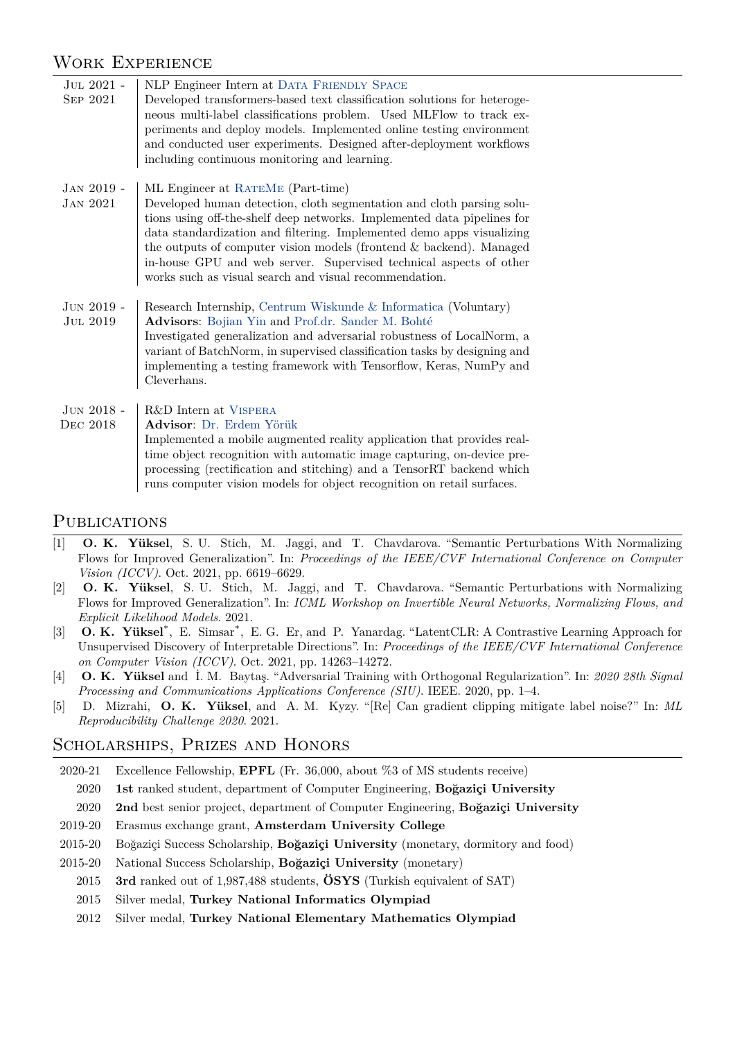## Work Experience

| JUL 2021 -<br>SEP 2021          | NLP Engineer Intern at DATA FRIENDLY SPACE<br>Developed transformers-based text classification solutions for heteroge-<br>neous multi-label classifications problem. Used MLFlow to track ex-<br>periments and deploy models. Implemented online testing environment<br>and conducted user experiments. Designed after-deployment workflows<br>including continuous monitoring and learning.                                                                          |
|---------------------------------|-----------------------------------------------------------------------------------------------------------------------------------------------------------------------------------------------------------------------------------------------------------------------------------------------------------------------------------------------------------------------------------------------------------------------------------------------------------------------|
| $JAN 2019 -$<br><b>JAN 2021</b> | ML Engineer at RATEME (Part-time)<br>Developed human detection, cloth segmentation and cloth parsing solu-<br>tions using off-the-shelf deep networks. Implemented data pipelines for<br>data standardization and filtering. Implemented demo apps visualizing<br>the outputs of computer vision models (frontend & backend). Managed<br>in-house GPU and web server. Supervised technical aspects of other<br>works such as visual search and visual recommendation. |
| $JUN 2019 -$<br><b>JUL 2019</b> | Research Internship, Centrum Wiskunde & Informatica (Voluntary)<br>Advisors: Bojian Yin and Prof.dr. Sander M. Bohté<br>Investigated generalization and adversarial robustness of LocalNorm, a<br>variant of BatchNorm, in supervised classification tasks by designing and<br>implementing a testing framework with Tensorflow, Keras, NumPy and<br>Cleverhans.                                                                                                      |
| $JUN 2018 -$<br>DEC 2018        | R&D Intern at VISPERA<br>Advisor: Dr. Erdem Yörük<br>Implemented a mobile augmented reality application that provides real-<br>time object recognition with automatic image capturing, on-device pre-<br>processing (rectification and stitching) and a TensorRT backend which<br>runs computer vision models for object recognition on retail surfaces.                                                                                                              |

#### **PUBLICATIONS**

- <span id="page-1-0"></span>[1] **O. K. Yüksel**, S. U. Stich, M. Jaggi, and T. Chavdarova. "Semantic Perturbations With Normalizing Flows for Improved Generalization". In: *Proceedings of the IEEE/CVF International Conference on Computer Vision (ICCV)*. Oct. 2021, pp. 6619–6629.
- <span id="page-1-1"></span>[2] **O. K. Yüksel**, S. U. Stich, M. Jaggi, and T. Chavdarova. "Semantic Perturbations with Normalizing Flows for Improved Generalization". In: *ICML Workshop on Invertible Neural Networks, Normalizing Flows, and Explicit Likelihood Models*. 2021.
- <span id="page-1-2"></span>[3] **O. K. Yüksel**<sup>\*</sup>, E. Simsar<sup>\*</sup>, E. G. Er, and P. Yanardag. "LatentCLR: A Contrastive Learning Approach for Unsupervised Discovery of Interpretable Directions". In: *Proceedings of the IEEE/CVF International Conference on Computer Vision (ICCV)*. Oct. 2021, pp. 14263–14272.
- <span id="page-1-3"></span>[4] **O. K. Yüksel** and İ. M. Baytaş. "Adversarial Training with Orthogonal Regularization". In: *2020 28th Signal Processing and Communications Applications Conference (SIU)*. IEEE. 2020, pp. 1–4.
- [5] D. Mizrahi, **O. K. Yüksel**, and A. M. Kyzy. "[Re] Can gradient clipping mitigate label noise?" In: *ML Reproducibility Challenge 2020*. 2021.

## Scholarships, Prizes and Honors

- 2020-21 Excellence Fellowship, **EPFL** (Fr. 36,000, about %3 of MS students receive)
- 2020 **1st** ranked student, department of Computer Engineering, **Boğaziçi University**
- 2020 **2nd** best senior project, department of Computer Engineering, **Boğaziçi University**
- 2019-20 Erasmus exchange grant, **Amsterdam University College**
- 2015-20 Boğaziçi Success Scholarship, **Boğaziçi University** (monetary, dormitory and food)
- 2015-20 National Success Scholarship, **Boğaziçi University** (monetary)
	- 2015 **3rd** ranked out of 1,987,488 students, **ÖSYS** (Turkish equivalent of SAT)
	- 2015 Silver medal, **Turkey National Informatics Olympiad**
	- 2012 Silver medal, **Turkey National Elementary Mathematics Olympiad**